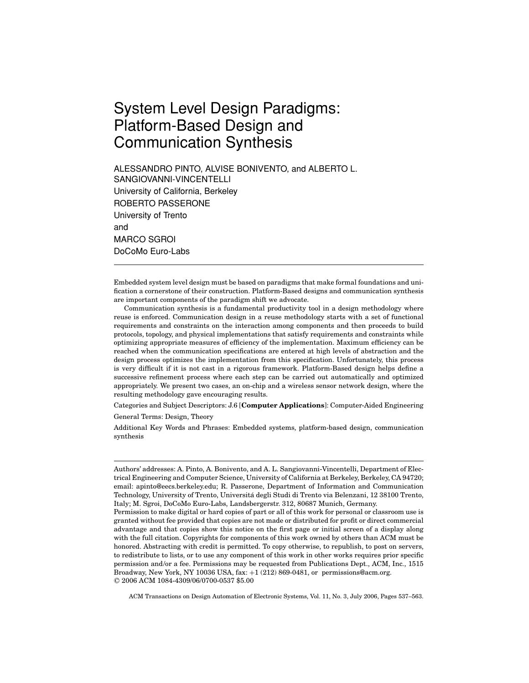# System Level Design Paradigms: Platform-Based Design and Communication Synthesis

ALESSANDRO PINTO, ALVISE BONIVENTO, and ALBERTO L. SANGIOVANNI-VINCENTELLI University of California, Berkeley ROBERTO PASSERONE University of Trento and MARCO SGROI DoCoMo Euro-Labs

Embedded system level design must be based on paradigms that make formal foundations and unification a cornerstone of their construction. Platform-Based designs and communication synthesis are important components of the paradigm shift we advocate.

Communication synthesis is a fundamental productivity tool in a design methodology where reuse is enforced. Communication design in a reuse methodology starts with a set of functional requirements and constraints on the interaction among components and then proceeds to build protocols, topology, and physical implementations that satisfy requirements and constraints while optimizing appropriate measures of efficiency of the implementation. Maximum efficiency can be reached when the communication specifications are entered at high levels of abstraction and the design process optimizes the implementation from this specification. Unfortunately, this process is very difficult if it is not cast in a rigorous framework. Platform-Based design helps define a successive refinement process where each step can be carried out automatically and optimized appropriately. We present two cases, an on-chip and a wireless sensor network design, where the resulting methodology gave encouraging results.

Categories and Subject Descriptors: J.6 [**Computer Applications**]: Computer-Aided Engineering General Terms: Design, Theory

Additional Key Words and Phrases: Embedded systems, platform-based design, communication synthesis

Authors' addresses: A. Pinto, A. Bonivento, and A. L. Sangiovanni-Vincentelli, Department of Electrical Engineering and Computer Science, University of California at Berkeley, Berkeley, CA 94720; email: apinto@eecs.berkeley.edu; R. Passerone, Department of Information and Communication Technology, University of Trento, Universita degli Studi di Trento via Belenzani, 12 38100 Trento, ´ Italy; M. Sgroi, DoCoMo Euro-Labs, Landsbergerstr. 312, 80687 Munich, Germany.

Permission to make digital or hard copies of part or all of this work for personal or classroom use is granted without fee provided that copies are not made or distributed for profit or direct commercial advantage and that copies show this notice on the first page or initial screen of a display along with the full citation. Copyrights for components of this work owned by others than ACM must be honored. Abstracting with credit is permitted. To copy otherwise, to republish, to post on servers, to redistribute to lists, or to use any component of this work in other works requires prior specific permission and/or a fee. Permissions may be requested from Publications Dept., ACM, Inc., 1515 Broadway, New York, NY 10036 USA,  $\text{fax:} +1$  (212) 869-0481, or permissions@acm.org. -C 2006 ACM 1084-4309/06/0700-0537 \$5.00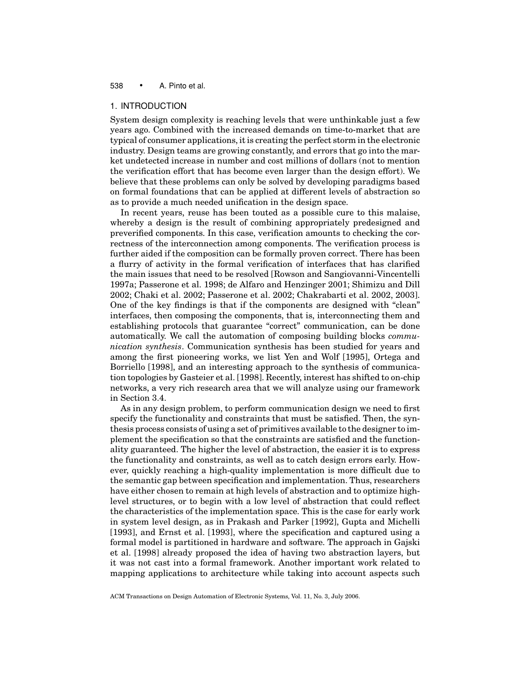# 1. INTRODUCTION

System design complexity is reaching levels that were unthinkable just a few years ago. Combined with the increased demands on time-to-market that are typical of consumer applications, it is creating the perfect storm in the electronic industry. Design teams are growing constantly, and errors that go into the market undetected increase in number and cost millions of dollars (not to mention the verification effort that has become even larger than the design effort). We believe that these problems can only be solved by developing paradigms based on formal foundations that can be applied at different levels of abstraction so as to provide a much needed unification in the design space.

In recent years, reuse has been touted as a possible cure to this malaise, whereby a design is the result of combining appropriately predesigned and preverified components. In this case, verification amounts to checking the correctness of the interconnection among components. The verification process is further aided if the composition can be formally proven correct. There has been a flurry of activity in the formal verification of interfaces that has clarified the main issues that need to be resolved [Rowson and Sangiovanni-Vincentelli 1997a; Passerone et al. 1998; de Alfaro and Henzinger 2001; Shimizu and Dill 2002; Chaki et al. 2002; Passerone et al. 2002; Chakrabarti et al. 2002, 2003]. One of the key findings is that if the components are designed with "clean" interfaces, then composing the components, that is, interconnecting them and establishing protocols that guarantee "correct" communication, can be done automatically. We call the automation of composing building blocks *communication synthesis*. Communication synthesis has been studied for years and among the first pioneering works, we list Yen and Wolf [1995], Ortega and Borriello [1998], and an interesting approach to the synthesis of communication topologies by Gasteier et al. [1998]. Recently, interest has shifted to on-chip networks, a very rich research area that we will analyze using our framework in Section 3.4.

As in any design problem, to perform communication design we need to first specify the functionality and constraints that must be satisfied. Then, the synthesis process consists of using a set of primitives available to the designer to implement the specification so that the constraints are satisfied and the functionality guaranteed. The higher the level of abstraction, the easier it is to express the functionality and constraints, as well as to catch design errors early. However, quickly reaching a high-quality implementation is more difficult due to the semantic gap between specification and implementation. Thus, researchers have either chosen to remain at high levels of abstraction and to optimize highlevel structures, or to begin with a low level of abstraction that could reflect the characteristics of the implementation space. This is the case for early work in system level design, as in Prakash and Parker [1992], Gupta and Michelli [1993], and Ernst et al. [1993], where the specification and captured using a formal model is partitioned in hardware and software. The approach in Gajski et al. [1998] already proposed the idea of having two abstraction layers, but it was not cast into a formal framework. Another important work related to mapping applications to architecture while taking into account aspects such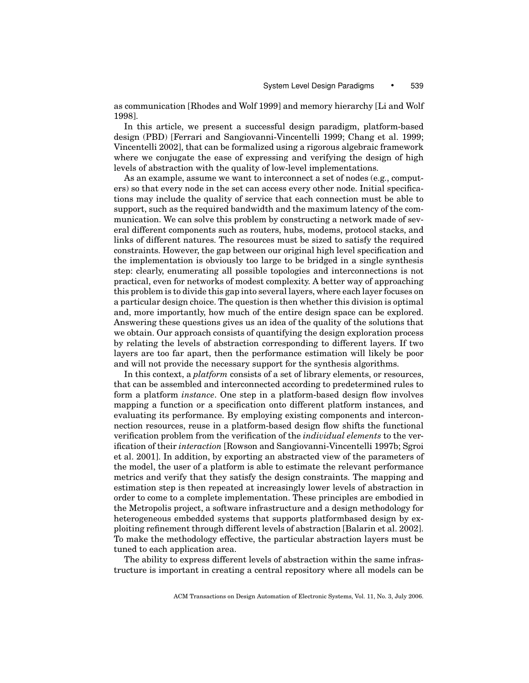as communication [Rhodes and Wolf 1999] and memory hierarchy [Li and Wolf 1998].

In this article, we present a successful design paradigm, platform-based design (PBD) [Ferrari and Sangiovanni-Vincentelli 1999; Chang et al. 1999; Vincentelli 2002], that can be formalized using a rigorous algebraic framework where we conjugate the ease of expressing and verifying the design of high levels of abstraction with the quality of low-level implementations.

As an example, assume we want to interconnect a set of nodes (e.g., computers) so that every node in the set can access every other node. Initial specifications may include the quality of service that each connection must be able to support, such as the required bandwidth and the maximum latency of the communication. We can solve this problem by constructing a network made of several different components such as routers, hubs, modems, protocol stacks, and links of different natures. The resources must be sized to satisfy the required constraints. However, the gap between our original high level specification and the implementation is obviously too large to be bridged in a single synthesis step: clearly, enumerating all possible topologies and interconnections is not practical, even for networks of modest complexity. A better way of approaching this problem is to divide this gap into several layers, where each layer focuses on a particular design choice. The question is then whether this division is optimal and, more importantly, how much of the entire design space can be explored. Answering these questions gives us an idea of the quality of the solutions that we obtain. Our approach consists of quantifying the design exploration process by relating the levels of abstraction corresponding to different layers. If two layers are too far apart, then the performance estimation will likely be poor and will not provide the necessary support for the synthesis algorithms.

In this context, a *platform* consists of a set of library elements, or resources, that can be assembled and interconnected according to predetermined rules to form a platform *instance*. One step in a platform-based design flow involves mapping a function or a specification onto different platform instances, and evaluating its performance. By employing existing components and interconnection resources, reuse in a platform-based design flow shifts the functional verification problem from the verification of the *individual elements* to the verification of their *interaction* [Rowson and Sangiovanni-Vincentelli 1997b; Sgroi et al. 2001]. In addition, by exporting an abstracted view of the parameters of the model, the user of a platform is able to estimate the relevant performance metrics and verify that they satisfy the design constraints. The mapping and estimation step is then repeated at increasingly lower levels of abstraction in order to come to a complete implementation. These principles are embodied in the Metropolis project, a software infrastructure and a design methodology for heterogeneous embedded systems that supports platformbased design by exploiting refinement through different levels of abstraction [Balarin et al. 2002]. To make the methodology effective, the particular abstraction layers must be tuned to each application area.

The ability to express different levels of abstraction within the same infrastructure is important in creating a central repository where all models can be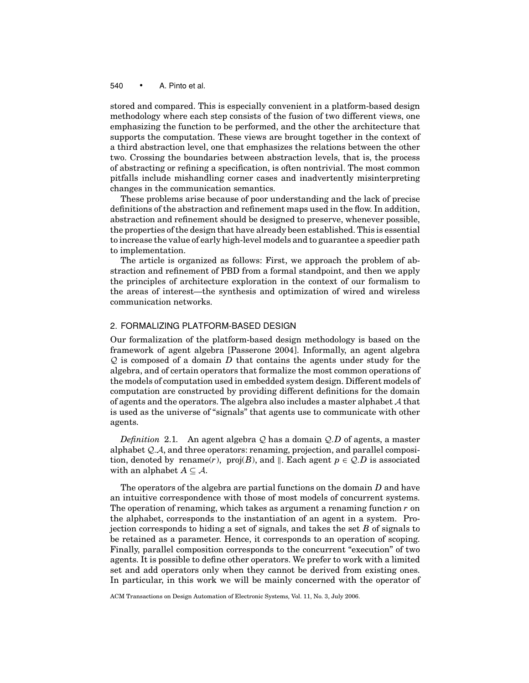stored and compared. This is especially convenient in a platform-based design methodology where each step consists of the fusion of two different views, one emphasizing the function to be performed, and the other the architecture that supports the computation. These views are brought together in the context of a third abstraction level, one that emphasizes the relations between the other two. Crossing the boundaries between abstraction levels, that is, the process of abstracting or refining a specification, is often nontrivial. The most common pitfalls include mishandling corner cases and inadvertently misinterpreting changes in the communication semantics.

These problems arise because of poor understanding and the lack of precise definitions of the abstraction and refinement maps used in the flow. In addition, abstraction and refinement should be designed to preserve, whenever possible, the properties of the design that have already been established. This is essential to increase the value of early high-level models and to guarantee a speedier path to implementation.

The article is organized as follows: First, we approach the problem of abstraction and refinement of PBD from a formal standpoint, and then we apply the principles of architecture exploration in the context of our formalism to the areas of interest—the synthesis and optimization of wired and wireless communication networks.

# 2. FORMALIZING PLATFORM-BASED DESIGN

Our formalization of the platform-based design methodology is based on the framework of agent algebra [Passerone 2004]. Informally, an agent algebra Q is composed of a domain *D* that contains the agents under study for the algebra, and of certain operators that formalize the most common operations of the models of computation used in embedded system design. Different models of computation are constructed by providing different definitions for the domain of agents and the operators. The algebra also includes a master alphabet A that is used as the universe of "signals" that agents use to communicate with other agents.

*Definition* 2.1*.* An agent algebra Q has a domain Q.*D* of agents, a master alphabet Q.A, and three operators: renaming, projection, and parallel composition, denoted by rename(*r*), proj(*B*), and  $\parallel$ . Each agent  $p \in \mathcal{Q}$ . *D* is associated with an alphabet  $A \subseteq \mathcal{A}$ .

The operators of the algebra are partial functions on the domain *D* and have an intuitive correspondence with those of most models of concurrent systems. The operation of renaming, which takes as argument a renaming function *r* on the alphabet, corresponds to the instantiation of an agent in a system. Projection corresponds to hiding a set of signals, and takes the set *B* of signals to be retained as a parameter. Hence, it corresponds to an operation of scoping. Finally, parallel composition corresponds to the concurrent "execution" of two agents. It is possible to define other operators. We prefer to work with a limited set and add operators only when they cannot be derived from existing ones. In particular, in this work we will be mainly concerned with the operator of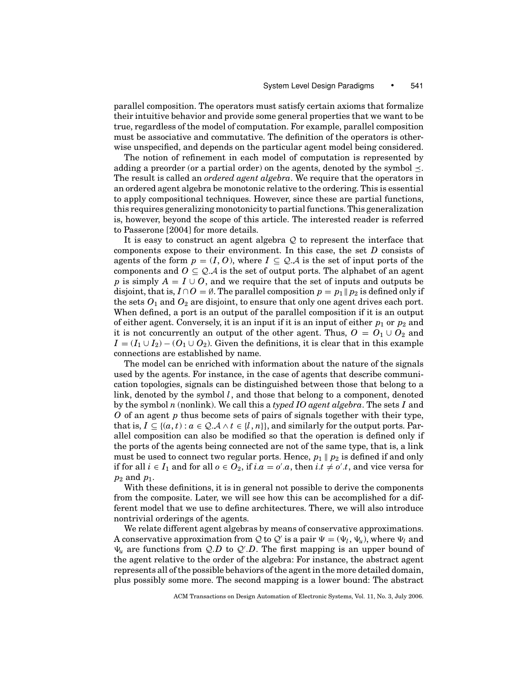## System Level Design Paradigms • 541

parallel composition. The operators must satisfy certain axioms that formalize their intuitive behavior and provide some general properties that we want to be true, regardless of the model of computation. For example, parallel composition must be associative and commutative. The definition of the operators is otherwise unspecified, and depends on the particular agent model being considered.

The notion of refinement in each model of computation is represented by adding a preorder (or a partial order) on the agents, denoted by the symbol  $\prec$ . The result is called an *ordered agent algebra*. We require that the operators in an ordered agent algebra be monotonic relative to the ordering. This is essential to apply compositional techniques. However, since these are partial functions, this requires generalizing monotonicity to partial functions. This generalization is, however, beyond the scope of this article. The interested reader is referred to Passerone [2004] for more details.

It is easy to construct an agent algebra Q to represent the interface that components expose to their environment. In this case, the set *D* consists of agents of the form  $p = (I, O)$ , where  $I \subseteq Q.A$  is the set of input ports of the components and  $O \subseteq Q \mathcal{A}$  is the set of output ports. The alphabet of an agent *p* is simply  $A = I \cup O$ , and we require that the set of inputs and outputs be disjoint, that is,  $I \cap O = \emptyset$ . The parallel composition  $p = p_1 || p_2$  is defined only if the sets  $O_1$  and  $O_2$  are disjoint, to ensure that only one agent drives each port. When defined, a port is an output of the parallel composition if it is an output of either agent. Conversely, it is an input if it is an input of either  $p_1$  or  $p_2$  and it is not concurrently an output of the other agent. Thus,  $O = O_1 \cup O_2$  and  $I = (I_1 \cup I_2) - (O_1 \cup O_2)$ . Given the definitions, it is clear that in this example connections are established by name.

The model can be enriched with information about the nature of the signals used by the agents. For instance, in the case of agents that describe communication topologies, signals can be distinguished between those that belong to a link, denoted by the symbol *l*, and those that belong to a component, denoted by the symbol *n* (nonlink). We call this a *typed IO agent algebra*. The sets *I* and *O* of an agent *p* thus become sets of pairs of signals together with their type, that is,  $I \subseteq \{(a, t): a \in \mathcal{Q} \mid \mathcal{A} \land t \in \{l, n\}\}$ , and similarly for the output ports. Parallel composition can also be modified so that the operation is defined only if the ports of the agents being connected are not of the same type, that is, a link must be used to connect two regular ports. Hence,  $p_1 \parallel p_2$  is defined if and only if for all  $i \in I_1$  and for all  $o \in O_2$ , if  $i.a = o'.a$ , then  $i.t \neq o'.t$ , and vice versa for  $p_2$  and  $p_1$ .

With these definitions, it is in general not possible to derive the components from the composite. Later, we will see how this can be accomplished for a different model that we use to define architectures. There, we will also introduce nontrivial orderings of the agents.

We relate different agent algebras by means of conservative approximations. A conservative approximation from Q to Q' is a pair  $\Psi = (\Psi_l, \Psi_u)$ , where  $\Psi_l$  and  $\Psi_u$  are functions from *Q.D* to *Q'.D*. The first mapping is an upper bound of the agent relative to the order of the algebra: For instance, the abstract agent represents all of the possible behaviors of the agent in the more detailed domain, plus possibly some more. The second mapping is a lower bound: The abstract

ACM Transactions on Design Automation of Electronic Systems, Vol. 11, No. 3, July 2006.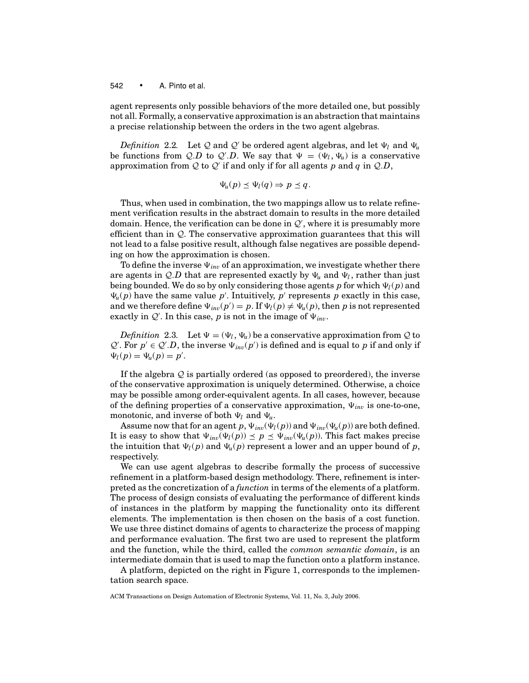agent represents only possible behaviors of the more detailed one, but possibly not all. Formally, a conservative approximation is an abstraction that maintains a precise relationship between the orders in the two agent algebras.

*Definition* 2.2. Let  $Q$  and  $Q'$  be ordered agent algebras, and let  $\Psi_l$  and  $\Psi_u$ be functions from  $Q.D$  to  $Q'.D.$  We say that  $\Psi = (\Psi_l, \Psi_u)$  is a conservative approximation from  $Q$  to  $Q'$  if and only if for all agents p and q in  $Q.D$ ,

$$
\Psi_u(p) \preceq \Psi_l(q) \Rightarrow p \preceq q.
$$

Thus, when used in combination, the two mappings allow us to relate refinement verification results in the abstract domain to results in the more detailed domain. Hence, the verification can be done in  $Q'$ , where it is presumably more efficient than in Q. The conservative approximation guarantees that this will not lead to a false positive result, although false negatives are possible depending on how the approximation is chosen.

To define the inverse  $\Psi_{inv}$  of an approximation, we investigate whether there are agents in *Q.D* that are represented exactly by  $\Psi_u$  and  $\Psi_l$ , rather than just being bounded. We do so by only considering those agents  $p$  for which  $\Psi_l(p)$  and  $\Psi_u(p)$  have the same value p'. Intuitively, p' represents p exactly in this case, and we therefore define  $\Psi_{inv}(p') = p$ . If  $\Psi_l(p) \neq \Psi_u(p)$ , then *p* is not represented exactly in  $Q'$ . In this case, *p* is not in the image of  $\Psi_{inv}$ .

*Definition* 2.3. Let  $\Psi = (\Psi_l, \Psi_u)$  be a conservative approximation from Q to  $Q'$ . For  $p' \in Q'$ . *D*, the inverse  $\Psi_{inv}(p')$  is defined and is equal to *p* if and only if  $\Psi_l(p) = \Psi_u(p) = p'.$ 

If the algebra  $Q$  is partially ordered (as opposed to preordered), the inverse of the conservative approximation is uniquely determined. Otherwise, a choice may be possible among order-equivalent agents. In all cases, however, because of the defining properties of a conservative approximation,  $\Psi_{inv}$  is one-to-one, monotonic, and inverse of both  $\Psi_l$  and  $\Psi_u$ .

Assume now that for an agent  $p$  ,  $\Psi_{inv}(\Psi_l(p))$  and  $\Psi_{inv}(\Psi_u(p))$  are both defined. It is easy to show that  $\Psi_{inv}(\Psi_l(p)) \leq p \leq \Psi_{inv}(\Psi_l(p))$ . This fact makes precise the intuition that  $\Psi_l(p)$  and  $\Psi_u(p)$  represent a lower and an upper bound of  $p,$ respectively.

We can use agent algebras to describe formally the process of successive refinement in a platform-based design methodology. There, refinement is interpreted as the concretization of a *function* in terms of the elements of a platform. The process of design consists of evaluating the performance of different kinds of instances in the platform by mapping the functionality onto its different elements. The implementation is then chosen on the basis of a cost function. We use three distinct domains of agents to characterize the process of mapping and performance evaluation. The first two are used to represent the platform and the function, while the third, called the *common semantic domain*, is an intermediate domain that is used to map the function onto a platform instance.

A platform, depicted on the right in Figure 1, corresponds to the implementation search space.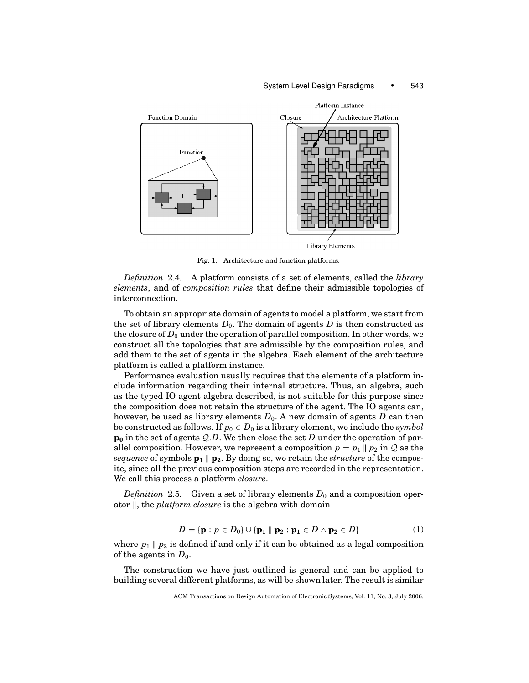

#### System Level Design Paradigms • 543

**Library Elements** 

Fig. 1. Architecture and function platforms.

*Definition* 2.4*.* A platform consists of a set of elements, called the *library elements*, and of *composition rules* that define their admissible topologies of interconnection.

To obtain an appropriate domain of agents to model a platform, we start from the set of library elements  $D_0$ . The domain of agents  $D$  is then constructed as the closure of  $D_0$  under the operation of parallel composition. In other words, we construct all the topologies that are admissible by the composition rules, and add them to the set of agents in the algebra. Each element of the architecture platform is called a platform instance.

Performance evaluation usually requires that the elements of a platform include information regarding their internal structure. Thus, an algebra, such as the typed IO agent algebra described, is not suitable for this purpose since the composition does not retain the structure of the agent. The IO agents can, however, be used as library elements  $D_0$ . A new domain of agents  $D$  can then be constructed as follows. If  $p_0 \text{ }\in D_0$  is a library element, we include the *symbol*  $\mathbf{p}_0$  in the set of agents *Q.D.* We then close the set *D* under the operation of parallel composition. However, we represent a composition  $p = p_1 \parallel p_2$  in Q as the *sequence* of symbols  $\mathbf{p}_1 \parallel \mathbf{p}_2$ . By doing so, we retain the *structure* of the composite, since all the previous composition steps are recorded in the representation. We call this process a platform *closure*.

*Definition* 2.5. Given a set of library elements  $D_0$  and a composition operator  $\parallel$ , the *platform closure* is the algebra with domain

$$
D = {\mathbf{p} : p \in D_0} \cup {\mathbf{p_1} \parallel \mathbf{p_2} : \mathbf{p_1} \in D \land \mathbf{p_2} \in D}
$$
 (1)

where  $p_1 \parallel p_2$  is defined if and only if it can be obtained as a legal composition of the agents in  $D_0$ .

The construction we have just outlined is general and can be applied to building several different platforms, as will be shown later. The result is similar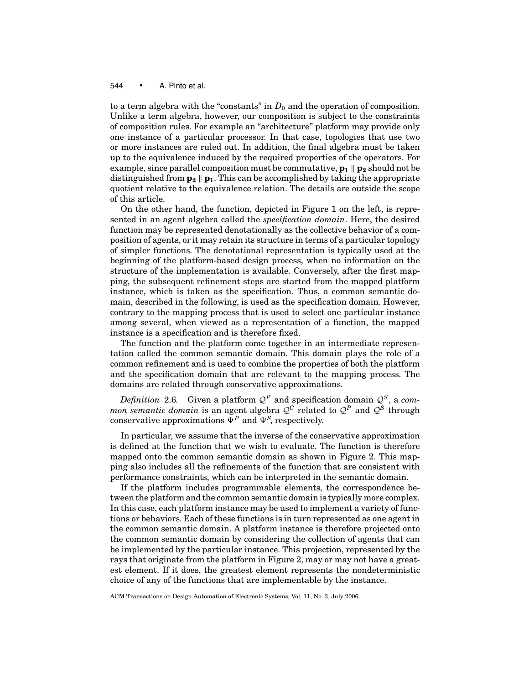to a term algebra with the "constants" in  $D_0$  and the operation of composition. Unlike a term algebra, however, our composition is subject to the constraints of composition rules. For example an "architecture" platform may provide only one instance of a particular processor. In that case, topologies that use two or more instances are ruled out. In addition, the final algebra must be taken up to the equivalence induced by the required properties of the operators. For example, since parallel composition must be commutative,  $\mathbf{p}_1 \parallel \mathbf{p}_2$  should not be distinguished from  $\mathbf{p}_2 \parallel \mathbf{p}_1$ . This can be accomplished by taking the appropriate quotient relative to the equivalence relation. The details are outside the scope of this article.

On the other hand, the function, depicted in Figure 1 on the left, is represented in an agent algebra called the *specification domain*. Here, the desired function may be represented denotationally as the collective behavior of a composition of agents, or it may retain its structure in terms of a particular topology of simpler functions. The denotational representation is typically used at the beginning of the platform-based design process, when no information on the structure of the implementation is available. Conversely, after the first mapping, the subsequent refinement steps are started from the mapped platform instance, which is taken as the specification. Thus, a common semantic domain, described in the following, is used as the specification domain. However, contrary to the mapping process that is used to select one particular instance among several, when viewed as a representation of a function, the mapped instance is a specification and is therefore fixed.

The function and the platform come together in an intermediate representation called the common semantic domain. This domain plays the role of a common refinement and is used to combine the properties of both the platform and the specification domain that are relevant to the mapping process. The domains are related through conservative approximations.

*Definition* 2.6. Given a platform  $Q^P$  and specification domain  $Q^S$ , a *common semantic domain* is an agent algebra  $Q^C$  related to  $Q^P$  and  $Q^S$  through conservative approximations  $\Psi^P$  and  $\Psi^S$ , respectively.

In particular, we assume that the inverse of the conservative approximation is defined at the function that we wish to evaluate. The function is therefore mapped onto the common semantic domain as shown in Figure 2. This mapping also includes all the refinements of the function that are consistent with performance constraints, which can be interpreted in the semantic domain.

If the platform includes programmable elements, the correspondence between the platform and the common semantic domain is typically more complex. In this case, each platform instance may be used to implement a variety of functions or behaviors. Each of these functions is in turn represented as one agent in the common semantic domain. A platform instance is therefore projected onto the common semantic domain by considering the collection of agents that can be implemented by the particular instance. This projection, represented by the rays that originate from the platform in Figure 2, may or may not have a greatest element. If it does, the greatest element represents the nondeterministic choice of any of the functions that are implementable by the instance.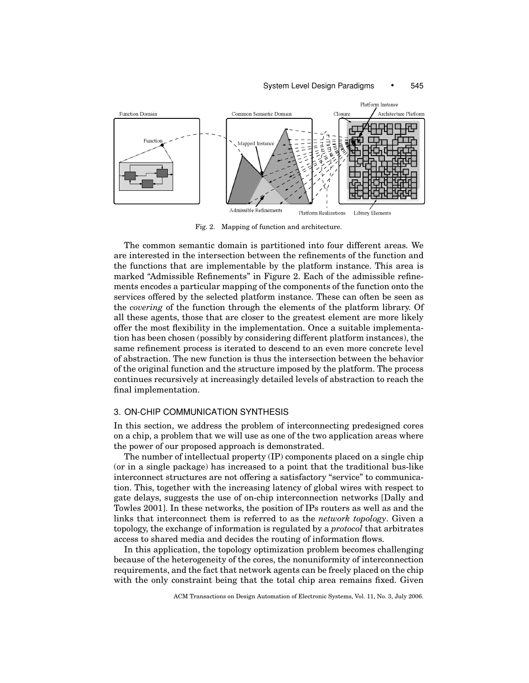#### System Level Design Paradigms • 545



Fig. 2. Mapping of function and architecture.

The common semantic domain is partitioned into four different areas. We are interested in the intersection between the refinements of the function and the functions that are implementable by the platform instance. This area is marked "Admissible Refinements" in Figure 2. Each of the admissible refinements encodes a particular mapping of the components of the function onto the services offered by the selected platform instance. These can often be seen as the *covering* of the function through the elements of the platform library. Of all these agents, those that are closer to the greatest element are more likely offer the most flexibility in the implementation. Once a suitable implementation has been chosen (possibly by considering different platform instances), the same refinement process is iterated to descend to an even more concrete level of abstraction. The new function is thus the intersection between the behavior of the original function and the structure imposed by the platform. The process continues recursively at increasingly detailed levels of abstraction to reach the final implementation.

# 3. ON-CHIP COMMUNICATION SYNTHESIS

In this section, we address the problem of interconnecting predesigned cores on a chip, a problem that we will use as one of the two application areas where the power of our proposed approach is demonstrated.

The number of intellectual property (IP) components placed on a single chip (or in a single package) has increased to a point that the traditional bus-like interconnect structures are not offering a satisfactory "service" to communication. This, together with the increasing latency of global wires with respect to gate delays, suggests the use of on-chip interconnection networks [Dally and Towles 2001]. In these networks, the position of IPs routers as well as and the links that interconnect them is referred to as the *network topology*. Given a topology, the exchange of information is regulated by a *protocol* that arbitrates access to shared media and decides the routing of information flows.

In this application, the topology optimization problem becomes challenging because of the heterogeneity of the cores, the nonuniformity of interconnection requirements, and the fact that network agents can be freely placed on the chip with the only constraint being that the total chip area remains fixed. Given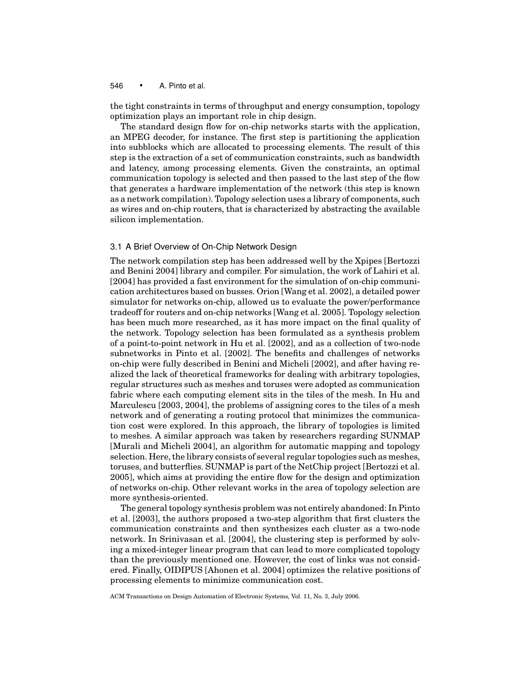the tight constraints in terms of throughput and energy consumption, topology optimization plays an important role in chip design.

The standard design flow for on-chip networks starts with the application, an MPEG decoder, for instance. The first step is partitioning the application into subblocks which are allocated to processing elements. The result of this step is the extraction of a set of communication constraints, such as bandwidth and latency, among processing elements. Given the constraints, an optimal communication topology is selected and then passed to the last step of the flow that generates a hardware implementation of the network (this step is known as a network compilation). Topology selection uses a library of components, such as wires and on-chip routers, that is characterized by abstracting the available silicon implementation.

# 3.1 A Brief Overview of On-Chip Network Design

The network compilation step has been addressed well by the Xpipes [Bertozzi and Benini 2004] library and compiler. For simulation, the work of Lahiri et al. [2004] has provided a fast environment for the simulation of on-chip communication architectures based on busses. Orion [Wang et al. 2002], a detailed power simulator for networks on-chip, allowed us to evaluate the power/performance tradeoff for routers and on-chip networks [Wang et al. 2005]. Topology selection has been much more researched, as it has more impact on the final quality of the network. Topology selection has been formulated as a synthesis problem of a point-to-point network in Hu et al. [2002], and as a collection of two-node subnetworks in Pinto et al. [2002]. The benefits and challenges of networks on-chip were fully described in Benini and Micheli [2002], and after having realized the lack of theoretical frameworks for dealing with arbitrary topologies, regular structures such as meshes and toruses were adopted as communication fabric where each computing element sits in the tiles of the mesh. In Hu and Marculescu [2003, 2004], the problems of assigning cores to the tiles of a mesh network and of generating a routing protocol that minimizes the communication cost were explored. In this approach, the library of topologies is limited to meshes. A similar approach was taken by researchers regarding SUNMAP [Murali and Micheli 2004], an algorithm for automatic mapping and topology selection. Here, the library consists of several regular topologies such as meshes, toruses, and butterflies. SUNMAP is part of the NetChip project [Bertozzi et al. 2005], which aims at providing the entire flow for the design and optimization of networks on-chip. Other relevant works in the area of topology selection are more synthesis-oriented.

The general topology synthesis problem was not entirely abandoned: In Pinto et al. [2003], the authors proposed a two-step algorithm that first clusters the communication constraints and then synthesizes each cluster as a two-node network. In Srinivasan et al. [2004], the clustering step is performed by solving a mixed-integer linear program that can lead to more complicated topology than the previously mentioned one. However, the cost of links was not considered. Finally, OIDIPUS [Ahonen et al. 2004] optimizes the relative positions of processing elements to minimize communication cost.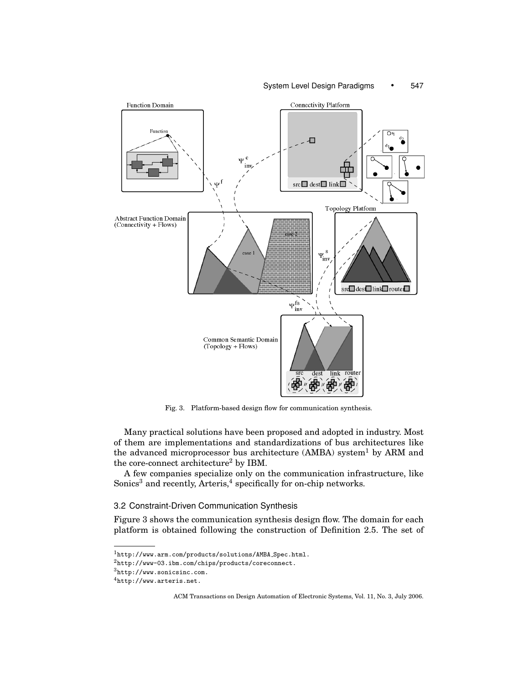

Fig. 3. Platform-based design flow for communication synthesis.

Many practical solutions have been proposed and adopted in industry. Most of them are implementations and standardizations of bus architectures like the advanced microprocessor bus architecture (AMBA) system<sup>1</sup> by ARM and the core-connect architecture<sup>2</sup> by IBM.

A few companies specialize only on the communication infrastructure, like Sonics<sup>3</sup> and recently, Arteris,<sup>4</sup> specifically for on-chip networks.

# 3.2 Constraint-Driven Communication Synthesis

Figure 3 shows the communication synthesis design flow. The domain for each platform is obtained following the construction of Definition 2.5. The set of

 $^{\rm 1}$  <br>http://www.arm.com/products/solutions/AMBA\_Spec.html.

<sup>2</sup>http://www-03.ibm.com/chips/products/coreconnect.

<sup>3</sup>http://www.sonicsinc.com.

<sup>4</sup>http://www.arteris.net.

ACM Transactions on Design Automation of Electronic Systems, Vol. 11, No. 3, July 2006.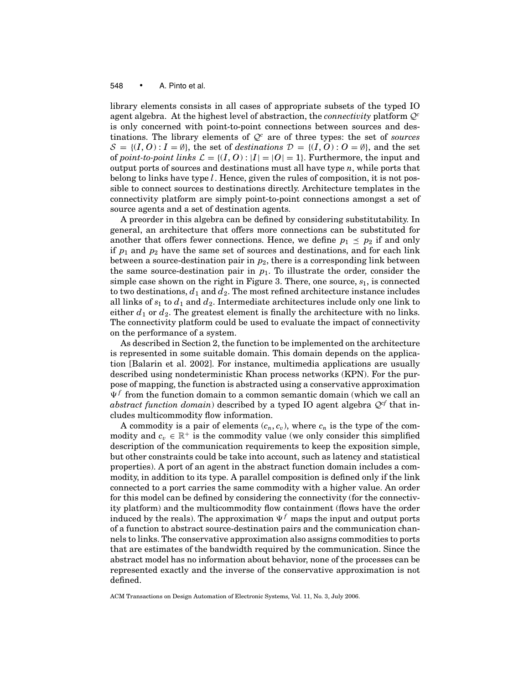library elements consists in all cases of appropriate subsets of the typed IO agent algebra. At the highest level of abstraction, the *connectivity* platform <sup>Q</sup>*<sup>c</sup>* is only concerned with point-to-point connections between sources and destinations. The library elements of <sup>Q</sup>*<sup>c</sup>* are of three types: the set of *sources*  $S = \{(I, O) : I = \emptyset\}$ , the set of *destinations*  $D = \{(I, O) : O = \emptyset\}$ , and the set of *point-to-point links*  $\mathcal{L} = \{(\mathcal{I}, O) : |\mathcal{I}| = |O| = 1\}$ . Furthermore, the input and output ports of sources and destinations must all have type *n*, while ports that belong to links have type *l*. Hence, given the rules of composition, it is not possible to connect sources to destinations directly. Architecture templates in the connectivity platform are simply point-to-point connections amongst a set of source agents and a set of destination agents.

A preorder in this algebra can be defined by considering substitutability. In general, an architecture that offers more connections can be substituted for another that offers fewer connections. Hence, we define  $p_1 \leq p_2$  if and only if  $p_1$  and  $p_2$  have the same set of sources and destinations, and for each link between a source-destination pair in  $p_2$ , there is a corresponding link between the same source-destination pair in  $p_1$ . To illustrate the order, consider the simple case shown on the right in Figure 3. There, one source, *s*1, is connected to two destinations,  $d_1$  and  $d_2$ . The most refined architecture instance includes all links of  $s_1$  to  $d_1$  and  $d_2$ . Intermediate architectures include only one link to either  $d_1$  or  $d_2$ . The greatest element is finally the architecture with no links. The connectivity platform could be used to evaluate the impact of connectivity on the performance of a system.

As described in Section 2, the function to be implemented on the architecture is represented in some suitable domain. This domain depends on the application [Balarin et al. 2002]. For instance, multimedia applications are usually described using nondeterministic Khan process networks (KPN). For the purpose of mapping, the function is abstracted using a conservative approximation  $\Psi^f$  from the function domain to a common semantic domain (which we call an *abstract function domain*) described by a typed IO agent algebra  $Q^{cf}$  that includes multicommodity flow information.

A commodity is a pair of elements  $(c_n, c_v)$ , where  $c_n$  is the type of the commodity and  $c_v \in \mathbb{R}^+$  is the commodity value (we only consider this simplified description of the communication requirements to keep the exposition simple, but other constraints could be take into account, such as latency and statistical properties). A port of an agent in the abstract function domain includes a commodity, in addition to its type. A parallel composition is defined only if the link connected to a port carries the same commodity with a higher value. An order for this model can be defined by considering the connectivity (for the connectivity platform) and the multicommodity flow containment (flows have the order induced by the reals). The approximation  $\Psi^f$  maps the input and output ports of a function to abstract source-destination pairs and the communication channels to links. The conservative approximation also assigns commodities to ports that are estimates of the bandwidth required by the communication. Since the abstract model has no information about behavior, none of the processes can be represented exactly and the inverse of the conservative approximation is not defined.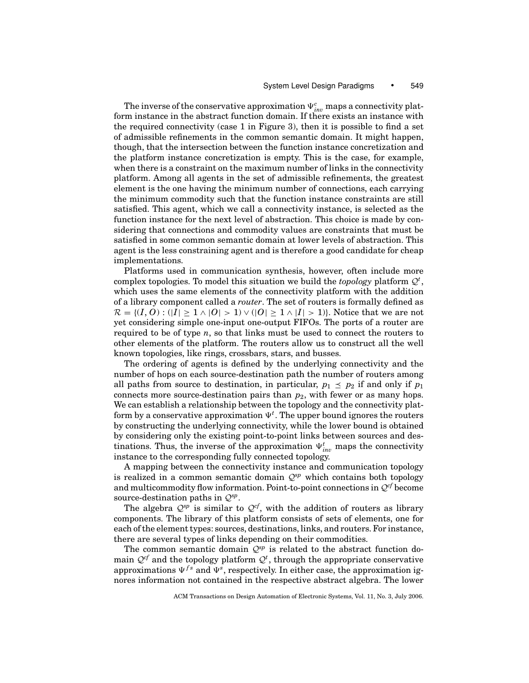The inverse of the conservative approximation  $\Psi^{c}_{inv}$  maps a connectivity platform instance in the abstract function domain. If there exists an instance with the required connectivity (case 1 in Figure 3), then it is possible to find a set of admissible refinements in the common semantic domain. It might happen, though, that the intersection between the function instance concretization and the platform instance concretization is empty. This is the case, for example, when there is a constraint on the maximum number of links in the connectivity platform. Among all agents in the set of admissible refinements, the greatest element is the one having the minimum number of connections, each carrying the minimum commodity such that the function instance constraints are still satisfied. This agent, which we call a connectivity instance, is selected as the function instance for the next level of abstraction. This choice is made by considering that connections and commodity values are constraints that must be satisfied in some common semantic domain at lower levels of abstraction. This agent is the less constraining agent and is therefore a good candidate for cheap implementations.

Platforms used in communication synthesis, however, often include more complex topologies. To model this situation we build the *topology* platform  $Q^t$ , which uses the same elements of the connectivity platform with the addition of a library component called a *router*. The set of routers is formally defined as  $\mathcal{R} = \{(I, O) : (|I| \geq 1 \land |O| > 1) \lor (|O| \geq 1 \land |I| > 1)\}\)$ . Notice that we are not yet considering simple one-input one-output FIFOs. The ports of a router are required to be of type *n*, so that links must be used to connect the routers to other elements of the platform. The routers allow us to construct all the well known topologies, like rings, crossbars, stars, and busses.

The ordering of agents is defined by the underlying connectivity and the number of hops on each source-destination path the number of routers among all paths from source to destination, in particular,  $p_1 \leq p_2$  if and only if  $p_1$ connects more source-destination pairs than  $p_2$ , with fewer or as many hops. We can establish a relationship between the topology and the connectivity platform by a conservative approximation  $\Psi^t$ . The upper bound ignores the routers by constructing the underlying connectivity, while the lower bound is obtained by considering only the existing point-to-point links between sources and destinations. Thus, the inverse of the approximation  $\Psi_{inv}^t$  maps the connectivity instance to the corresponding fully connected topology.

A mapping between the connectivity instance and communication topology is realized in a common semantic domain  $\mathcal{Q}^{sp}$  which contains both topology and multicommodity flow information. Point-to-point connections in  $\mathcal{Q}^{cf}$  become source-destination paths in <sup>Q</sup>*sp*.

The algebra  $\mathcal{Q}^{sp}$  is similar to  $\mathcal{Q}^{cf}$ , with the addition of routers as library components. The library of this platform consists of sets of elements, one for each of the element types: sources, destinations, links, and routers. For instance, there are several types of links depending on their commodities.

The common semantic domain  $\mathcal{Q}^{sp}$  is related to the abstract function domain  $\mathcal{Q}^{cf}$  and the topology platform  $\mathcal{Q}^t$ , through the appropriate conservative approximations  $\Psi^{fs}$  and  $\Psi^s$ , respectively. In either case, the approximation ignores information not contained in the respective abstract algebra. The lower

ACM Transactions on Design Automation of Electronic Systems, Vol. 11, No. 3, July 2006.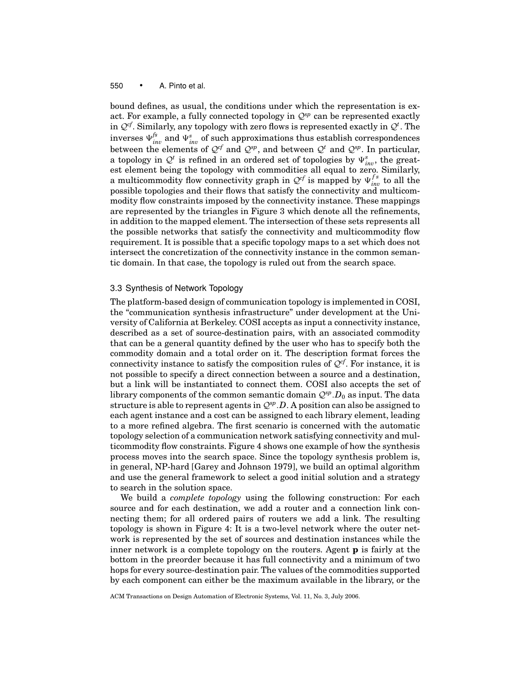bound defines, as usual, the conditions under which the representation is exact. For example, a fully connected topology in  $\mathcal{Q}^{sp}$  can be represented exactly in  $\mathcal{Q}^{cf}$ . Similarly, any topology with zero flows is represented exactly in  $\mathcal{Q}^t$ . The  $\psi_{\mathit{inv}}^{\mathit{fs}}$  and  $\Psi_{\mathit{inv}}^{\mathit{s}}$  of such approximations thus establish correspondences between the elements of  $\mathcal{Q}^{cf}$  and  $\mathcal{Q}^{sp}$ , and between  $\mathcal{Q}^t$  and  $\mathcal{Q}^{sp}$ . In particular, a topology in  $\mathcal{Q}^t$  is refined in an ordered set of topologies by  $\Psi_{inv}^s$ , the greatest element being the topology with commodities all equal to zero. Similarly, a multicommodity flow connectivity graph in  $\mathcal{Q}^{cf}$  is mapped by  $\Psi_{inv}^{fs}$  to all the possible topologies and their flows that satisfy the connectivity and multicommodity flow constraints imposed by the connectivity instance. These mappings are represented by the triangles in Figure 3 which denote all the refinements, in addition to the mapped element. The intersection of these sets represents all the possible networks that satisfy the connectivity and multicommodity flow requirement. It is possible that a specific topology maps to a set which does not intersect the concretization of the connectivity instance in the common semantic domain. In that case, the topology is ruled out from the search space.

# 3.3 Synthesis of Network Topology

The platform-based design of communication topology is implemented in COSI, the "communication synthesis infrastructure" under development at the University of California at Berkeley. COSI accepts as input a connectivity instance, described as a set of source-destination pairs, with an associated commodity that can be a general quantity defined by the user who has to specify both the commodity domain and a total order on it. The description format forces the connectivity instance to satisfy the composition rules of  $\mathcal{Q}^{cf}$ . For instance, it is not possible to specify a direct connection between a source and a destination, but a link will be instantiated to connect them. COSI also accepts the set of library components of the common semantic domain  $Q^{sp}$ .  $D_0$  as input. The data structure is able to represent agents in  $Q^{sp}$ . D. A position can also be assigned to each agent instance and a cost can be assigned to each library element, leading to a more refined algebra. The first scenario is concerned with the automatic topology selection of a communication network satisfying connectivity and multicommodity flow constraints. Figure 4 shows one example of how the synthesis process moves into the search space. Since the topology synthesis problem is, in general, NP-hard [Garey and Johnson 1979], we build an optimal algorithm and use the general framework to select a good initial solution and a strategy to search in the solution space.

We build a *complete topology* using the following construction: For each source and for each destination, we add a router and a connection link connecting them; for all ordered pairs of routers we add a link. The resulting topology is shown in Figure 4: It is a two-level network where the outer network is represented by the set of sources and destination instances while the inner network is a complete topology on the routers. Agent **p** is fairly at the bottom in the preorder because it has full connectivity and a minimum of two hops for every source-destination pair. The values of the commodities supported by each component can either be the maximum available in the library, or the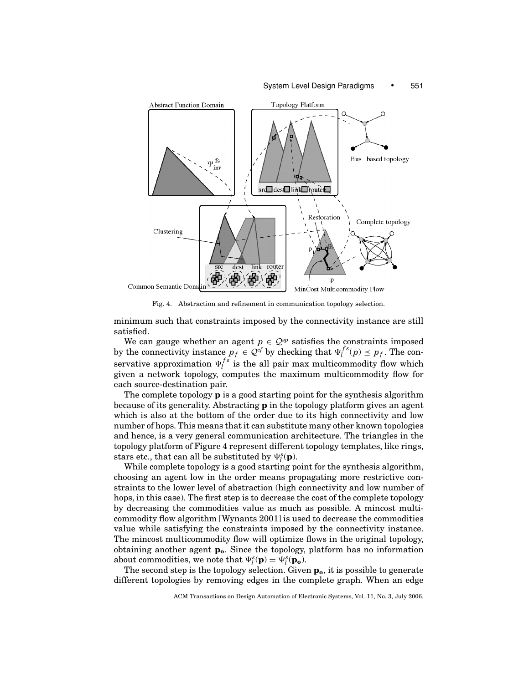

Fig. 4. Abstraction and refinement in communication topology selection.

minimum such that constraints imposed by the connectivity instance are still satisfied.

We can gauge whether an agent  $p \in \mathcal{Q}^{sp}$  satisfies the constraints imposed by the connectivity instance  $p_f \in \mathcal{Q}^{cf}$  by checking that  $\Psi_l^{fs}(p) \leq p_f$ . The conservative approximation  $\Psi_l^{fs}$  is the all pair max multicommodity flow which given a network topology, computes the maximum multicommodity flow for each source-destination pair.

The complete topology **p** is a good starting point for the synthesis algorithm because of its generality. Abstracting **p** in the topology platform gives an agent which is also at the bottom of the order due to its high connectivity and low number of hops. This means that it can substitute many other known topologies and hence, is a very general communication architecture. The triangles in the topology platform of Figure 4 represent different topology templates, like rings, stars etc., that can all be substituted by  $\Psi_l^s(\mathbf{p})$ .

While complete topology is a good starting point for the synthesis algorithm, choosing an agent low in the order means propagating more restrictive constraints to the lower level of abstraction (high connectivity and low number of hops, in this case). The first step is to decrease the cost of the complete topology by decreasing the commodities value as much as possible. A mincost multicommodity flow algorithm [Wynants 2001] is used to decrease the commodities value while satisfying the constraints imposed by the connectivity instance. The mincost multicommodity flow will optimize flows in the original topology, obtaining another agent **po**. Since the topology, platform has no information about commodities, we note that  $\Psi_l^s(\mathbf{p}) = \Psi_l^s(\mathbf{p_o}).$ 

The second step is the topology selection. Given **po**, it is possible to generate different topologies by removing edges in the complete graph. When an edge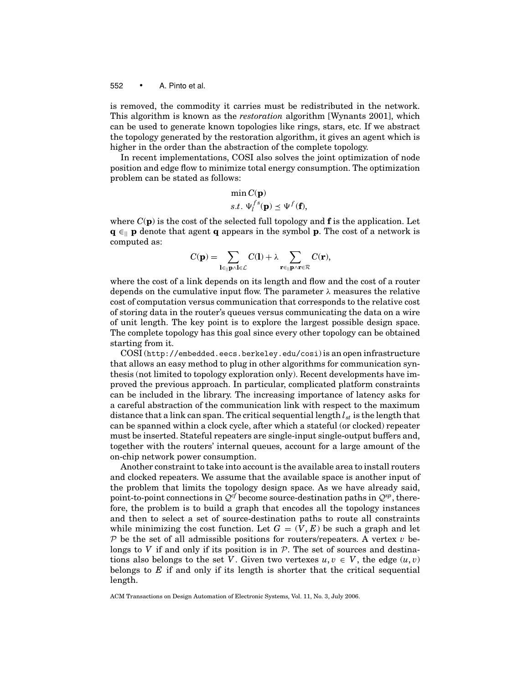is removed, the commodity it carries must be redistributed in the network. This algorithm is known as the *restoration* algorithm [Wynants 2001], which can be used to generate known topologies like rings, stars, etc. If we abstract the topology generated by the restoration algorithm, it gives an agent which is higher in the order than the abstraction of the complete topology.

In recent implementations, COSI also solves the joint optimization of node position and edge flow to minimize total energy consumption. The optimization problem can be stated as follows:

$$
\min_{\mathbf{S}.t.} C(\mathbf{p})
$$
  

$$
s.t. \Psi_l^{fs}(\mathbf{p}) \le \Psi^f(\mathbf{f}),
$$

where  $C(\mathbf{p})$  is the cost of the selected full topology and **f** is the application. Let **q** ∈|| **p** denote that agent **q** appears in the symbol **p**. The cost of a network is computed as:

$$
C(\mathbf{p}) = \sum_{\mathbf{l} \in \mathbf{p}} C(\mathbf{l}) + \lambda \sum_{\mathbf{r} \in \mathbf{p} \wedge \mathbf{r} \in \mathcal{R}} C(\mathbf{r}),
$$

where the cost of a link depends on its length and flow and the cost of a router depends on the cumulative input flow. The parameter  $\lambda$  measures the relative cost of computation versus communication that corresponds to the relative cost of storing data in the router's queues versus communicating the data on a wire of unit length. The key point is to explore the largest possible design space. The complete topology has this goal since every other topology can be obtained starting from it.

COSI (http://embedded.eecs.berkeley.edu/cosi) is an open infrastructure that allows an easy method to plug in other algorithms for communication synthesis (not limited to topology exploration only). Recent developments have improved the previous approach. In particular, complicated platform constraints can be included in the library. The increasing importance of latency asks for a careful abstraction of the communication link with respect to the maximum distance that a link can span. The critical sequential length  $l_{st}$  is the length that can be spanned within a clock cycle, after which a stateful (or clocked) repeater must be inserted. Stateful repeaters are single-input single-output buffers and, together with the routers' internal queues, account for a large amount of the on-chip network power consumption.

Another constraint to take into account is the available area to install routers and clocked repeaters. We assume that the available space is another input of the problem that limits the topology design space. As we have already said, point-to-point connections in  $\mathcal{Q}^{\bar{cf}}$  become source-destination paths in  $\mathcal{Q}^{sp}$ , therefore, the problem is to build a graph that encodes all the topology instances and then to select a set of source-destination paths to route all constraints while minimizing the cost function. Let  $G = (V, E)$  be such a graph and let P be the set of all admissible positions for routers/repeaters. A vertex *v* belongs to  $V$  if and only if its position is in  $P$ . The set of sources and destinations also belongs to the set *V*. Given two vertexes  $u, v \in V$ , the edge  $(u, v)$ belongs to  $E$  if and only if its length is shorter that the critical sequential length.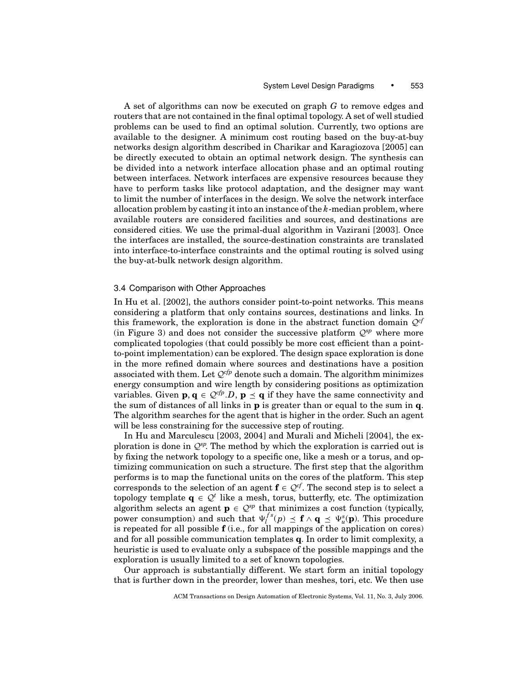#### System Level Design Paradigms • 553

A set of algorithms can now be executed on graph *G* to remove edges and routers that are not contained in the final optimal topology. A set of well studied problems can be used to find an optimal solution. Currently, two options are available to the designer. A minimum cost routing based on the buy-at-buy networks design algorithm described in Charikar and Karagiozova [2005] can be directly executed to obtain an optimal network design. The synthesis can be divided into a network interface allocation phase and an optimal routing between interfaces. Network interfaces are expensive resources because they have to perform tasks like protocol adaptation, and the designer may want to limit the number of interfaces in the design. We solve the network interface allocation problem by casting it into an instance of the *k*-median problem, where available routers are considered facilities and sources, and destinations are considered cities. We use the primal-dual algorithm in Vazirani [2003]. Once the interfaces are installed, the source-destination constraints are translated into interface-to-interface constraints and the optimal routing is solved using the buy-at-bulk network design algorithm.

# 3.4 Comparison with Other Approaches

In Hu et al. [2002], the authors consider point-to-point networks. This means considering a platform that only contains sources, destinations and links. In this framework, the exploration is done in the abstract function domain  $\mathcal{Q}^{cf}$ (in Figure 3) and does not consider the successive platform  $Q^{sp}$  where more complicated topologies (that could possibly be more cost efficient than a pointto-point implementation) can be explored. The design space exploration is done in the more refined domain where sources and destinations have a position associated with them. Let  $\mathcal{Q}^{cfp}$  denote such a domain. The algorithm minimizes energy consumption and wire length by considering positions as optimization variables. Given **p**,  $\mathbf{q} \in \mathcal{Q}^{cfp}$ .  $D$ ,  $\mathbf{p} \prec \mathbf{q}$  if they have the same connectivity and the sum of distances of all links in **p** is greater than or equal to the sum in **q**. The algorithm searches for the agent that is higher in the order. Such an agent will be less constraining for the successive step of routing.

In Hu and Marculescu [2003, 2004] and Murali and Micheli [2004], the exploration is done in <sup>Q</sup>*sp*. The method by which the exploration is carried out is by fixing the network topology to a specific one, like a mesh or a torus, and optimizing communication on such a structure. The first step that the algorithm performs is to map the functional units on the cores of the platform. This step corresponds to the selection of an agent  $f \in \mathcal{Q}^{cf}$ . The second step is to select a topology template  $q \in \mathcal{Q}^t$  like a mesh, torus, butterfly, etc. The optimization algorithm selects an agent  $\mathbf{p} \in \mathcal{Q}^{sp}$  that minimizes a cost function (typically, power consumption) and such that  $\Psi_l^{fs}(p) \leq \mathbf{f} \wedge \mathbf{q} \leq \Psi_u^s(\mathbf{p})$ . This procedure is repeated for all possible **f** (i.e., for all mappings of the application on cores) and for all possible communication templates **q**. In order to limit complexity, a heuristic is used to evaluate only a subspace of the possible mappings and the exploration is usually limited to a set of known topologies.

Our approach is substantially different. We start form an initial topology that is further down in the preorder, lower than meshes, tori, etc. We then use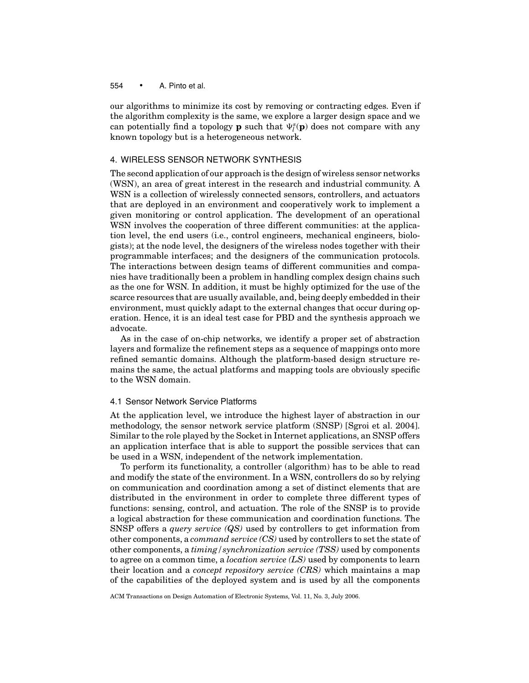our algorithms to minimize its cost by removing or contracting edges. Even if the algorithm complexity is the same, we explore a larger design space and we can potentially find a topology  $\mathbf{p}$  such that  $\Psi_l^s(\mathbf{p})$  does not compare with any known topology but is a heterogeneous network.

# 4. WIRELESS SENSOR NETWORK SYNTHESIS

The second application of our approach is the design of wireless sensor networks (WSN), an area of great interest in the research and industrial community. A WSN is a collection of wirelessly connected sensors, controllers, and actuators that are deployed in an environment and cooperatively work to implement a given monitoring or control application. The development of an operational WSN involves the cooperation of three different communities: at the application level, the end users (i.e., control engineers, mechanical engineers, biologists); at the node level, the designers of the wireless nodes together with their programmable interfaces; and the designers of the communication protocols. The interactions between design teams of different communities and companies have traditionally been a problem in handling complex design chains such as the one for WSN. In addition, it must be highly optimized for the use of the scarce resources that are usually available, and, being deeply embedded in their environment, must quickly adapt to the external changes that occur during operation. Hence, it is an ideal test case for PBD and the synthesis approach we advocate.

As in the case of on-chip networks, we identify a proper set of abstraction layers and formalize the refinement steps as a sequence of mappings onto more refined semantic domains. Although the platform-based design structure remains the same, the actual platforms and mapping tools are obviously specific to the WSN domain.

# 4.1 Sensor Network Service Platforms

At the application level, we introduce the highest layer of abstraction in our methodology, the sensor network service platform (SNSP) [Sgroi et al. 2004]. Similar to the role played by the Socket in Internet applications, an SNSP offers an application interface that is able to support the possible services that can be used in a WSN, independent of the network implementation.

To perform its functionality, a controller (algorithm) has to be able to read and modify the state of the environment. In a WSN, controllers do so by relying on communication and coordination among a set of distinct elements that are distributed in the environment in order to complete three different types of functions: sensing, control, and actuation. The role of the SNSP is to provide a logical abstraction for these communication and coordination functions. The SNSP offers a *query service (QS)* used by controllers to get information from other components, a *command service (CS)* used by controllers to set the state of other components, a *timing/synchronization service (TSS)* used by components to agree on a common time, a *location service (LS)* used by components to learn their location and a *concept repository service (CRS)* which maintains a map of the capabilities of the deployed system and is used by all the components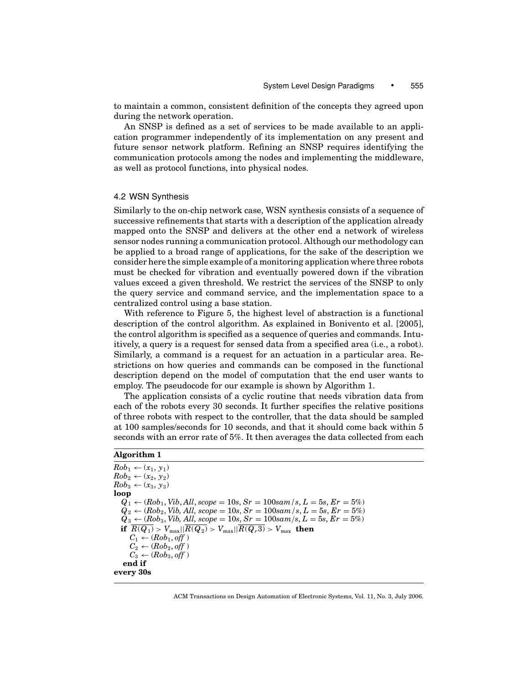to maintain a common, consistent definition of the concepts they agreed upon during the network operation.

An SNSP is defined as a set of services to be made available to an application programmer independently of its implementation on any present and future sensor network platform. Refining an SNSP requires identifying the communication protocols among the nodes and implementing the middleware, as well as protocol functions, into physical nodes.

# 4.2 WSN Synthesis

Similarly to the on-chip network case, WSN synthesis consists of a sequence of successive refinements that starts with a description of the application already mapped onto the SNSP and delivers at the other end a network of wireless sensor nodes running a communication protocol. Although our methodology can be applied to a broad range of applications, for the sake of the description we consider here the simple example of a monitoring application where three robots must be checked for vibration and eventually powered down if the vibration values exceed a given threshold. We restrict the services of the SNSP to only the query service and command service, and the implementation space to a centralized control using a base station.

With reference to Figure 5, the highest level of abstraction is a functional description of the control algorithm. As explained in Bonivento et al. [2005], the control algorithm is specified as a sequence of queries and commands. Intuitively, a query is a request for sensed data from a specified area (i.e., a robot). Similarly, a command is a request for an actuation in a particular area. Restrictions on how queries and commands can be composed in the functional description depend on the model of computation that the end user wants to employ. The pseudocode for our example is shown by Algorithm 1.

The application consists of a cyclic routine that needs vibration data from each of the robots every 30 seconds. It further specifies the relative positions of three robots with respect to the controller, that the data should be sampled at 100 samples/seconds for 10 seconds, and that it should come back within 5 seconds with an error rate of 5%. It then averages the data collected from each

# **Algorithm 1**

 $Rob_1 \leftarrow (x_1, y_1)$  $Rob_2 \leftarrow (x_2, y_2)$  $Rob_3 \leftarrow (x_3, y_3)$ **loop**  $\overline{Q}_1 \leftarrow (Rob_1, Vib, All, scope = 10s, Sr = 100sam/s, L = 5s, Er = 5%)$  $Q_2 \leftarrow (Rob_2, Vib, All, scope = 10s, Sr = 100sam/s, L = 5s, Er = 5%)$  $Q_3 \leftarrow (Rob_3, Vib, All, scope = 10s, Sr = 100sam/s, L = 5s, Er = 5%)$ **if**  $\overline{R(Q_1)} > V_{\text{max}} || \overline{R(Q_2)} > V_{\text{max}} || \overline{R(Q_r 3)} > V_{\text{max}}$  then  $C_1 \leftarrow (Rob_1, off)$  $C_2 \leftarrow (Rob_2, off)$  $C_3 \leftarrow (Rob_3, off)$ **end if every 30s**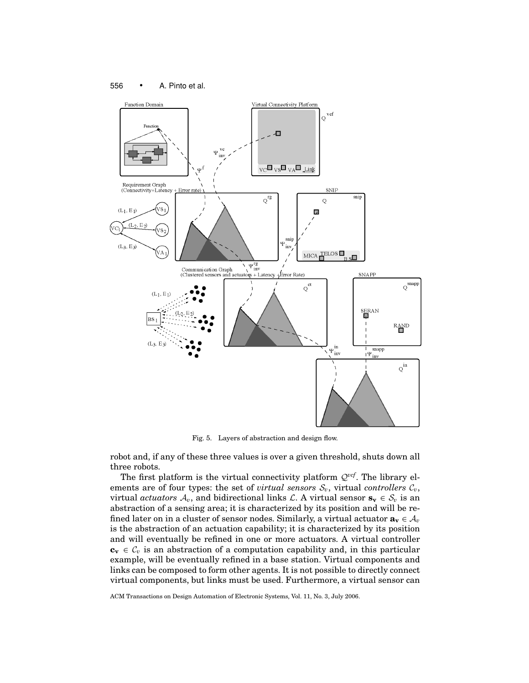

Fig. 5. Layers of abstraction and design flow.

robot and, if any of these three values is over a given threshold, shuts down all three robots.

The first platform is the virtual connectivity platform  $Q^{vcf}$ . The library elements are of four types: the set of *virtual sensors*  $S_v$ , virtual *controllers*  $C_v$ , virtual *actuators*  $A_v$ , and bidirectional links L. A virtual sensor  $\mathbf{s_v} \in S_v$  is an abstraction of a sensing area; it is characterized by its position and will be refined later on in a cluster of sensor nodes. Similarly, a virtual actuator  $\mathbf{a}_v \in \mathcal{A}_v$ is the abstraction of an actuation capability; it is characterized by its position and will eventually be refined in one or more actuators. A virtual controller  $\mathbf{c}_{\mathbf{v}} \in \mathcal{C}_v$  is an abstraction of a computation capability and, in this particular example, will be eventually refined in a base station. Virtual components and links can be composed to form other agents. It is not possible to directly connect virtual components, but links must be used. Furthermore, a virtual sensor can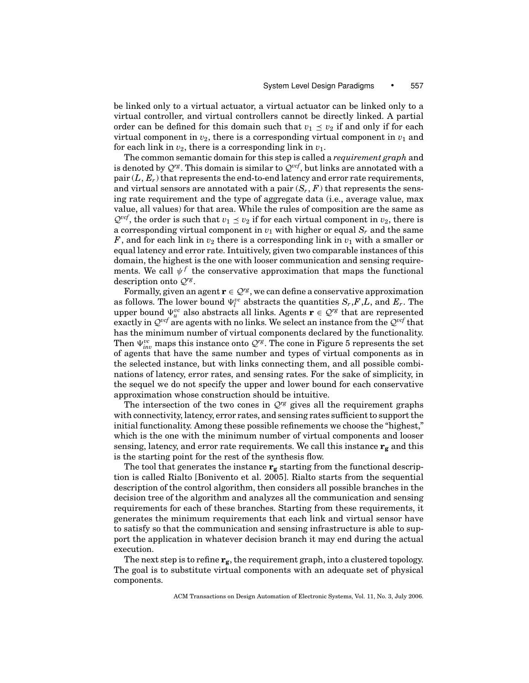be linked only to a virtual actuator, a virtual actuator can be linked only to a virtual controller, and virtual controllers cannot be directly linked. A partial order can be defined for this domain such that  $v_1 \le v_2$  if and only if for each virtual component in  $v_2$ , there is a corresponding virtual component in  $v_1$  and for each link in  $v_2$ , there is a corresponding link in  $v_1$ .

The common semantic domain for this step is called a *requirement graph* and is denoted by  $Q^{rg}$ . This domain is similar to  $Q^{vcf}$ , but links are annotated with a pair  $(L, E_r)$  that represents the end-to-end latency and error rate requirements, and virtual sensors are annotated with a pair  $(S_r, F)$  that represents the sensing rate requirement and the type of aggregate data (i.e., average value, max value, all values) for that area. While the rules of composition are the same as  $\mathcal{Q}^{vcf}$ , the order is such that  $v_1 \le v_2$  if for each virtual component in  $v_2$ , there is a corresponding virtual component in  $v_1$  with higher or equal  $S_r$  and the same  $F$ , and for each link in  $v_2$  there is a corresponding link in  $v_1$  with a smaller or equal latency and error rate. Intuitively, given two comparable instances of this domain, the highest is the one with looser communication and sensing requirements. We call  $\psi^f$  the conservative approximation that maps the functional description onto <sup>Q</sup>*rg*.

Formally, given an agent  $\mathbf{r} \in \mathcal{Q}^{rg}$ , we can define a conservative approximation as follows. The lower bound  $\Psi_l^{vc}$  abstracts the quantities  $S_r, F, L$ , and  $E_r$ . The upper bound  $\Psi_u^{vc}$  also abstracts all links. Agents  $\mathbf{r} \in \mathcal{Q}^{rg}$  that are represented exactly in <sup>Q</sup>*vcf* are agents with no links. We select an instance from the <sup>Q</sup>*vcf* that has the minimum number of virtual components declared by the functionality. Then  $\Psi_{inv}^{vc}$  maps this instance onto  $Q^{rg}$ . The cone in Figure 5 represents the set of agents that have the same number and types of virtual components as in the selected instance, but with links connecting them, and all possible combinations of latency, error rates, and sensing rates. For the sake of simplicity, in the sequel we do not specify the upper and lower bound for each conservative approximation whose construction should be intuitive.

The intersection of the two cones in  $Q^{rg}$  gives all the requirement graphs with connectivity, latency, error rates, and sensing rates sufficient to support the initial functionality. Among these possible refinements we choose the "highest," which is the one with the minimum number of virtual components and looser sensing, latency, and error rate requirements. We call this instance  $\mathbf{r_g}$  and this is the starting point for the rest of the synthesis flow.

The tool that generates the instance  $\mathbf{r_g}$  starting from the functional description is called Rialto [Bonivento et al. 2005]. Rialto starts from the sequential description of the control algorithm, then considers all possible branches in the decision tree of the algorithm and analyzes all the communication and sensing requirements for each of these branches. Starting from these requirements, it generates the minimum requirements that each link and virtual sensor have to satisfy so that the communication and sensing infrastructure is able to support the application in whatever decision branch it may end during the actual execution.

The next step is to refine  $\mathbf{r_g}$ , the requirement graph, into a clustered topology. The goal is to substitute virtual components with an adequate set of physical components.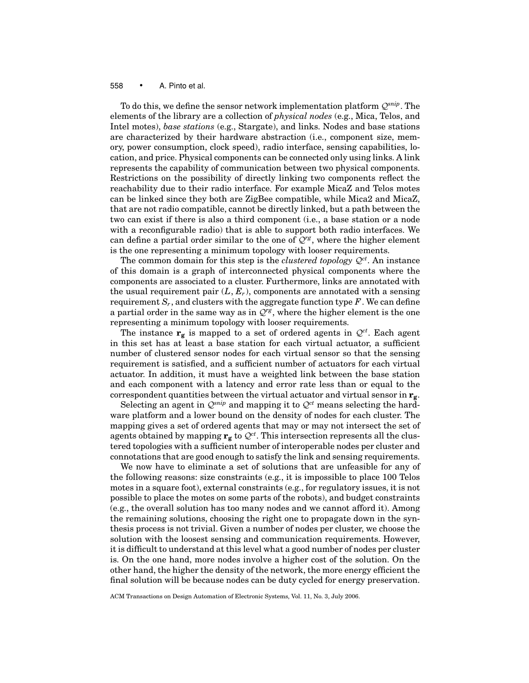To do this, we define the sensor network implementation platform <sup>Q</sup>*snip*. The elements of the library are a collection of *physical nodes* (e.g., Mica, Telos, and Intel motes), *base stations* (e.g., Stargate), and links. Nodes and base stations are characterized by their hardware abstraction (i.e., component size, memory, power consumption, clock speed), radio interface, sensing capabilities, location, and price. Physical components can be connected only using links. A link represents the capability of communication between two physical components. Restrictions on the possibility of directly linking two components reflect the reachability due to their radio interface. For example MicaZ and Telos motes can be linked since they both are ZigBee compatible, while Mica2 and MicaZ, that are not radio compatible, cannot be directly linked, but a path between the two can exist if there is also a third component (i.e., a base station or a node with a reconfigurable radio) that is able to support both radio interfaces. We can define a partial order similar to the one of  $\mathcal{Q}^{rg}$ , where the higher element is the one representing a minimum topology with looser requirements.

The common domain for this step is the *clustered topology*  $\mathcal{Q}^{ct}$ . An instance of this domain is a graph of interconnected physical components where the components are associated to a cluster. Furthermore, links are annotated with the usual requirement pair  $(L, E_r)$ , components are annotated with a sensing requirement  $S_r$ , and clusters with the aggregate function type  $F$ . We can define a partial order in the same way as in  $Q^{rg}$ , where the higher element is the one representing a minimum topology with looser requirements.

The instance  $\mathbf{r_g}$  is mapped to a set of ordered agents in  $\mathcal{Q}^{ct}$ . Each agent in this set has at least a base station for each virtual actuator, a sufficient number of clustered sensor nodes for each virtual sensor so that the sensing requirement is satisfied, and a sufficient number of actuators for each virtual actuator. In addition, it must have a weighted link between the base station and each component with a latency and error rate less than or equal to the correspondent quantities between the virtual actuator and virtual sensor in  $\mathbf{r}_{g}$ .

Selecting an agent in  $\mathcal{Q}^{snip}$  and mapping it to  $\mathcal{Q}^{ct}$  means selecting the hardware platform and a lower bound on the density of nodes for each cluster. The mapping gives a set of ordered agents that may or may not intersect the set of agents obtained by mapping  $\mathbf{r_g}$  to  $\mathcal{Q}^{ct}$ . This intersection represents all the clustered topologies with a sufficient number of interoperable nodes per cluster and connotations that are good enough to satisfy the link and sensing requirements.

We now have to eliminate a set of solutions that are unfeasible for any of the following reasons: size constraints (e.g., it is impossible to place 100 Telos motes in a square foot), external constraints (e.g., for regulatory issues, it is not possible to place the motes on some parts of the robots), and budget constraints (e.g., the overall solution has too many nodes and we cannot afford it). Among the remaining solutions, choosing the right one to propagate down in the synthesis process is not trivial. Given a number of nodes per cluster, we choose the solution with the loosest sensing and communication requirements. However, it is difficult to understand at this level what a good number of nodes per cluster is. On the one hand, more nodes involve a higher cost of the solution. On the other hand, the higher the density of the network, the more energy efficient the final solution will be because nodes can be duty cycled for energy preservation.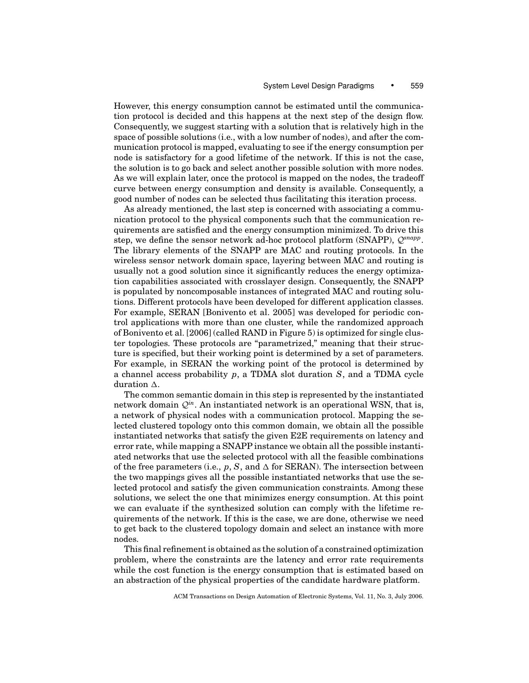## System Level Design Paradigms • 559

However, this energy consumption cannot be estimated until the communication protocol is decided and this happens at the next step of the design flow. Consequently, we suggest starting with a solution that is relatively high in the space of possible solutions (i.e., with a low number of nodes), and after the communication protocol is mapped, evaluating to see if the energy consumption per node is satisfactory for a good lifetime of the network. If this is not the case, the solution is to go back and select another possible solution with more nodes. As we will explain later, once the protocol is mapped on the nodes, the tradeoff curve between energy consumption and density is available. Consequently, a good number of nodes can be selected thus facilitating this iteration process.

As already mentioned, the last step is concerned with associating a communication protocol to the physical components such that the communication requirements are satisfied and the energy consumption minimized. To drive this step, we define the sensor network ad-hoc protocol platform (SNAPP), <sup>Q</sup>*snapp*. The library elements of the SNAPP are MAC and routing protocols. In the wireless sensor network domain space, layering between MAC and routing is usually not a good solution since it significantly reduces the energy optimization capabilities associated with crosslayer design. Consequently, the SNAPP is populated by noncomposable instances of integrated MAC and routing solutions. Different protocols have been developed for different application classes. For example, SERAN [Bonivento et al. 2005] was developed for periodic control applications with more than one cluster, while the randomized approach of Bonivento et al. [2006] (called RAND in Figure 5) is optimized for single cluster topologies. These protocols are "parametrized," meaning that their structure is specified, but their working point is determined by a set of parameters. For example, in SERAN the working point of the protocol is determined by a channel access probability *p*, a TDMA slot duration *S*, and a TDMA cycle duration  $\Delta$ .

The common semantic domain in this step is represented by the instantiated network domain <sup>Q</sup>*in*. An instantiated network is an operational WSN, that is, a network of physical nodes with a communication protocol. Mapping the selected clustered topology onto this common domain, we obtain all the possible instantiated networks that satisfy the given E2E requirements on latency and error rate, while mapping a SNAPP instance we obtain all the possible instantiated networks that use the selected protocol with all the feasible combinations of the free parameters (i.e.,  $p$ ,  $S$ , and  $\Delta$  for SERAN). The intersection between the two mappings gives all the possible instantiated networks that use the selected protocol and satisfy the given communication constraints. Among these solutions, we select the one that minimizes energy consumption. At this point we can evaluate if the synthesized solution can comply with the lifetime requirements of the network. If this is the case, we are done, otherwise we need to get back to the clustered topology domain and select an instance with more nodes.

This final refinement is obtained as the solution of a constrained optimization problem, where the constraints are the latency and error rate requirements while the cost function is the energy consumption that is estimated based on an abstraction of the physical properties of the candidate hardware platform.

ACM Transactions on Design Automation of Electronic Systems, Vol. 11, No. 3, July 2006.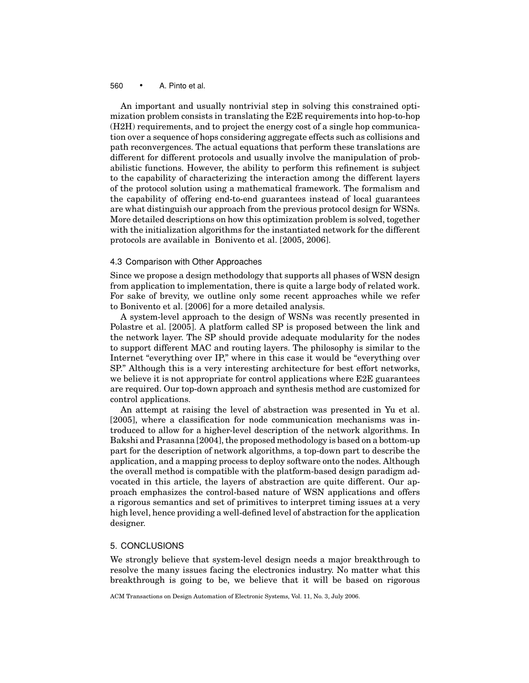An important and usually nontrivial step in solving this constrained optimization problem consists in translating the E2E requirements into hop-to-hop (H2H) requirements, and to project the energy cost of a single hop communication over a sequence of hops considering aggregate effects such as collisions and path reconvergences. The actual equations that perform these translations are different for different protocols and usually involve the manipulation of probabilistic functions. However, the ability to perform this refinement is subject to the capability of characterizing the interaction among the different layers of the protocol solution using a mathematical framework. The formalism and the capability of offering end-to-end guarantees instead of local guarantees are what distinguish our approach from the previous protocol design for WSNs. More detailed descriptions on how this optimization problem is solved, together with the initialization algorithms for the instantiated network for the different protocols are available in Bonivento et al. [2005, 2006].

## 4.3 Comparison with Other Approaches

Since we propose a design methodology that supports all phases of WSN design from application to implementation, there is quite a large body of related work. For sake of brevity, we outline only some recent approaches while we refer to Bonivento et al. [2006] for a more detailed analysis.

A system-level approach to the design of WSNs was recently presented in Polastre et al. [2005]. A platform called SP is proposed between the link and the network layer. The SP should provide adequate modularity for the nodes to support different MAC and routing layers. The philosophy is similar to the Internet "everything over IP," where in this case it would be "everything over SP." Although this is a very interesting architecture for best effort networks, we believe it is not appropriate for control applications where E2E guarantees are required. Our top-down approach and synthesis method are customized for control applications.

An attempt at raising the level of abstraction was presented in Yu et al. [2005], where a classification for node communication mechanisms was introduced to allow for a higher-level description of the network algorithms. In Bakshi and Prasanna [2004], the proposed methodology is based on a bottom-up part for the description of network algorithms, a top-down part to describe the application, and a mapping process to deploy software onto the nodes. Although the overall method is compatible with the platform-based design paradigm advocated in this article, the layers of abstraction are quite different. Our approach emphasizes the control-based nature of WSN applications and offers a rigorous semantics and set of primitives to interpret timing issues at a very high level, hence providing a well-defined level of abstraction for the application designer.

## 5. CONCLUSIONS

We strongly believe that system-level design needs a major breakthrough to resolve the many issues facing the electronics industry. No matter what this breakthrough is going to be, we believe that it will be based on rigorous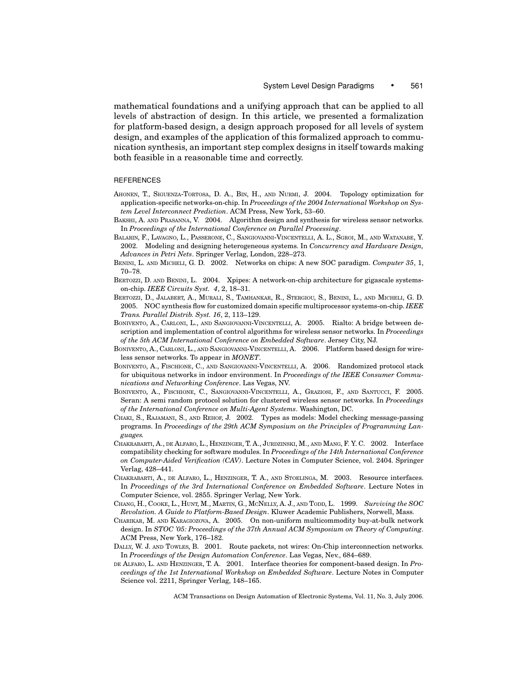mathematical foundations and a unifying approach that can be applied to all levels of abstraction of design. In this article, we presented a formalization for platform-based design, a design approach proposed for all levels of system design, and examples of the application of this formalized approach to communication synthesis, an important step complex designs in itself towards making both feasible in a reasonable time and correctly.

## **REFERENCES**

- AHONEN, T., SIGUENZA-TORTOSA, D. A., BIN, H., AND NURMI, J. 2004. Topology optimization for application-specific networks-on-chip. In *Proceedings of the 2004 International Workshop on System Level Interconnect Prediction*. ACM Press, New York, 53–60.
- BAKSHI, A. AND PRASANNA, V. 2004. Algorithm design and synthesis for wireless sensor networks. In *Proceedings of the International Conference on Parallel Processing*.
- BALARIN, F., LAVAGNO, L., PASSERONE, C., SANGIOVANNI-VINCENTELLI, A. L., SGROI, M., AND WATANABE, Y. 2002. Modeling and designing heterogeneous systems. In *Concurrency and Hardware Design, Advances in Petri Nets*. Springer Verlag, London, 228–273.
- BENINI, L. AND MICHELI, G. D. 2002. Networks on chips: A new SOC paradigm. *Computer 35*, 1, 70–78.
- BERTOZZI, D. AND BENINI, L. 2004. Xpipes: A network-on-chip architecture for gigascale systemson-chip. *IEEE Circuits Syst. 4*, 2, 18–31.
- BERTOZZI, D., JALABERT, A., MURALI, S., TAMHANKAR, R., STERGIOU, S., BENINI, L., AND MICHELI, G. D. 2005. NOC synthesis flow for customized domain specific multiprocessor systems-on-chip. *IEEE Trans. Parallel Distrib. Syst. 16*, 2, 113–129.
- BONIVENTO, A., CARLONI, L., AND SANGIOVANNI-VINCENTELLI, A. 2005. Rialto: A bridge between description and implementation of control algorithms for wireless sensor networks. In *Proceedings of the 5th ACM International Conference on Embedded Software*. Jersey City, NJ.
- BONIVENTO, A., CARLONI, L., AND SANGIOVANNI-VINCENTELLI, A. 2006. Platform based design for wireless sensor networks. To appear in *MONET*.
- BONIVENTO, A., FISCHIONE, C., AND SANGIOVANNI-VINCENTELLI, A. 2006. Randomized protocol stack for ubiquitous networks in indoor environment. In *Proceedings of the IEEE Consumer Communications and Networking Conference*. Las Vegas, NV.
- BONIVENTO, A., FISCHIONE, C., SANGIOVANNI-VINCENTELLI, A., GRAZIOSI, F., AND SANTUCCI, F. 2005. Seran: A semi random protocol solution for clustered wireless sensor networks. In *Proceedings of the International Conference on Multi-Agent Systems*. Washington, DC.
- CHAKI, S., RAJAMANI, S., AND REHOF, J. 2002. Types as models: Model checking message-passing programs. In *Proceedings of the 29th ACM Symposium on the Principles of Programming Languages.*
- CHAKRABARTI, A., DE ALFARO, L., HENZINGER, T. A., JURDZINSKI, M., AND MANG, F. Y. C. 2002. Interface compatibility checking for software modules. In *Proceedings of the 14th International Conference on Computer-Aided Verification (CAV)*. Lecture Notes in Computer Science, vol. 2404. Springer Verlag, 428–441.
- CHAKRABARTI, A., DE ALFARO, L., HENZINGER, T. A., AND STOELINGA, M. 2003. Resource interfaces. In *Proceedings of the 3rd International Conference on Embedded Software*. Lecture Notes in Computer Science, vol. 2855. Springer Verlag, New York.
- CHANG, H., COOKE, L., HUNT, M., MARTIN, G., MCNELLY, A. J., AND TODD, L. 1999. *Surviving the SOC Revolution. A Guide to Platform-Based Design*. Kluwer Academic Publishers, Norwell, Mass.
- CHARIKAR, M. AND KARAGIOZOVA, A. 2005. On non-uniform multicommodity buy-at-bulk network design. In *STOC '05: Proceedings of the 37th Annual ACM Symposium on Theory of Computing*. ACM Press, New York, 176–182.
- DALLY, W. J. AND TOWLES, B. 2001. Route packets, not wires: On-Chip interconnection networks. In *Proceedings of the Design Automation Conference*. Las Vegas, Nev., 684–689.
- DE ALFARO, L. AND HENZINGER, T. A. 2001. Interface theories for component-based design. In *Proceedings of the 1st International Workshop on Embedded Software*. Lecture Notes in Computer Science vol. 2211, Springer Verlag, 148–165.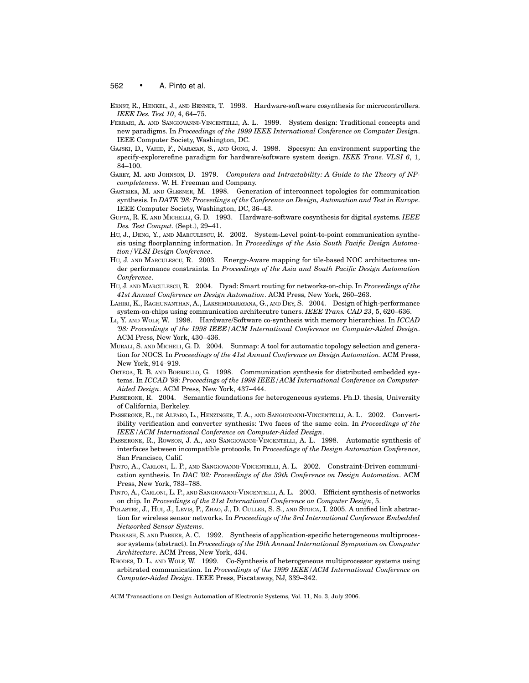- ERNST, R., HENKEL, J., AND BENNER, T. 1993. Hardware-software cosynthesis for microcontrollers. *IEEE Des. Test 10*, 4, 64–75.
- FERRARI, A. AND SANGIOVANNI-VINCENTELLI, A. L. 1999. System design: Traditional concepts and new paradigms. In *Proceedings of the 1999 IEEE International Conference on Computer Design*. IEEE Computer Society, Washington, DC.
- GAJSKI, D., VAHID, F., NARAYAN, S., AND GONG, J. 1998. Specsyn: An environment supporting the specify-explorerefine paradigm for hardware/software system design. *IEEE Trans. VLSI 6*, 1, 84–100.
- GAREY, M. AND JOHNSON, D. 1979. *Computers and Intractability: A Guide to the Theory of NPcompleteness*. W. H. Freeman and Company.
- GASTEIER, M. AND GLESNER, M. 1998. Generation of interconnect topologies for communication synthesis. In *DATE '98: Proceedings of the Conference on Design, Automation and Test in Europe*. IEEE Computer Society, Washington, DC, 36–43.
- GUPTA, R. K. AND MICHELLI, G. D. 1993. Hardware-software cosynthesis for digital systems. *IEEE Des. Test Comput.* (Sept.), 29–41.
- HU, J., DENG, Y., AND MARCULESCU, R. 2002. System-Level point-to-point communication synthesis using floorplanning information. In *Proceedings of the Asia South Pacific Design Automation/VLSI Design Conference*.
- HU, J. AND MARCULESCU, R. 2003. Energy-Aware mapping for tile-based NOC architectures under performance constraints. In *Proceedings of the Asia and South Pacific Design Automation Conference*.
- HU, J. AND MARCULESCU, R. 2004. Dyad: Smart routing for networks-on-chip. In *Proceedings of the 41st Annual Conference on Design Automation*. ACM Press, New York, 260–263.
- LAHIRI, K., RAGHUNANTHAN, A., LAKSHMINARAYANA, G., AND DEY, S. 2004. Design of high-performance system-on-chips using communication architecutre tuners. *IEEE Trans. CAD 23*, 5, 620–636.
- LI, Y. AND WOLF, W. 1998. Hardware/Software co-synthesis with memory hierarchies. In *ICCAD '98: Proceedings of the 1998 IEEE/ACM International Conference on Computer-Aided Design*. ACM Press, New York, 430–436.
- MURALI, S. AND MICHELI, G. D. 2004. Sunmap: A tool for automatic topology selection and generation for NOCS. In *Proceedings of the 41st Annual Conference on Design Automation*. ACM Press, New York, 914–919.
- ORTEGA, R. B. AND BORRIELLO, G. 1998. Communication synthesis for distributed embedded systems. In *ICCAD '98: Proceedings of the 1998 IEEE/ACM International Conference on Computer-Aided Design*. ACM Press, New York, 437–444.
- PASSERONE, R. 2004. Semantic foundations for heterogeneous systems. Ph.D. thesis, University of California, Berkeley.
- PASSERONE, R., DE ALFARO, L., HENZINGER, T. A., AND SANGIOVANNI-VINCENTELLI, A. L. 2002. Convertibility verification and converter synthesis: Two faces of the same coin. In *Proceedings of the IEEE/ACM International Conference on Computer-Aided Design*.
- PASSERONE, R., ROWSON, J. A., AND SANGIOVANNI-VINCENTELLI, A. L. 1998. Automatic synthesis of interfaces between incompatible protocols. In *Proceedings of the Design Automation Conference*, San Francisco, Calif.
- PINTO, A., CARLONI, L. P., AND SANGIOVANNI-VINCENTELLI, A. L. 2002. Constraint-Driven communication synthesis. In *DAC '02: Proceedings of the 39th Conference on Design Automation*. ACM Press, New York, 783–788.
- PINTO, A., CARLONI, L. P., AND SANGIOVANNI-VINCENTELLI, A. L. 2003. Efficient synthesis of networks on chip. In *Proceedings of the 21st International Conference on Computer Design*, 5.
- POLASTRE, J., HUI, J., LEVIS, P., ZHAO, J., D. CULLER, S. S., AND STOICA, I. 2005. A unified link abstraction for wireless sensor networks. In *Proceedings of the 3rd International Conference Embedded Networked Sensor Systems*.
- PRAKASH, S. AND PARKER, A. C. 1992. Synthesis of application-specific heterogeneous multiprocessor systems (abstract). In *Proceedings of the 19th Annual International Symposium on Computer Architecture*. ACM Press, New York, 434.
- RHODES, D. L. AND WOLF, W. 1999. Co-Synthesis of heterogeneous multiprocessor systems using arbitrated communication. In *Proceedings of the 1999 IEEE/ACM International Conference on Computer-Aided Design*. IEEE Press, Piscataway, NJ, 339–342.